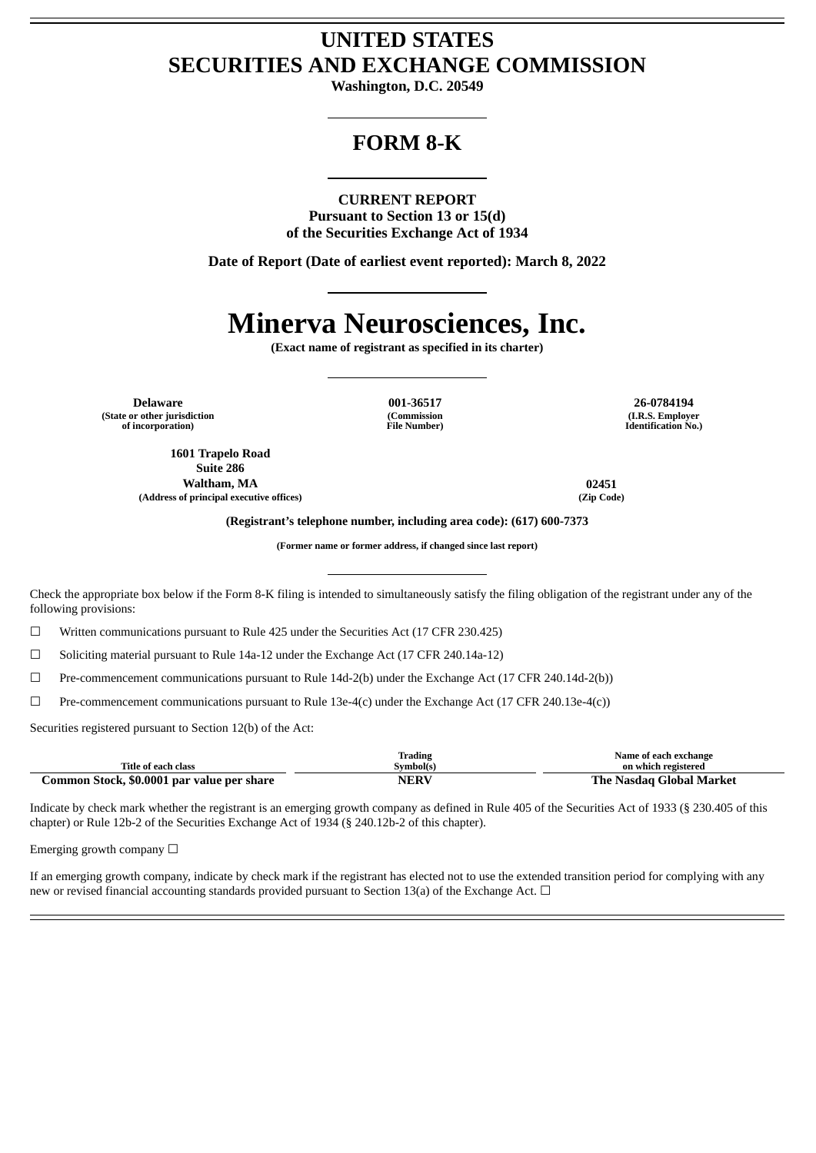## **UNITED STATES SECURITIES AND EXCHANGE COMMISSION**

**Washington, D.C. 20549**

## **FORM 8-K**

### **CURRENT REPORT**

**Pursuant to Section 13 or 15(d) of the Securities Exchange Act of 1934**

**Date of Report (Date of earliest event reported): March 8, 2022**

# **Minerva Neurosciences, Inc.**

**(Exact name of registrant as specified in its charter)**

**Delaware 001-36517 26-0784194 (State or other jurisdiction of incorporation)**

**1601 Trapelo Road Suite 286 Waltham, MA 02451 (Address of principal executive offices) (Zip Code)**

**(Commission File Number)**

**(I.R.S. Employer Identification No.)**

**(Registrant's telephone number, including area code): (617) 600-7373**

**(Former name or former address, if changed since last report)**

Check the appropriate box below if the Form 8-K filing is intended to simultaneously satisfy the filing obligation of the registrant under any of the following provisions:

☐ Written communications pursuant to Rule 425 under the Securities Act (17 CFR 230.425)

☐ Soliciting material pursuant to Rule 14a-12 under the Exchange Act (17 CFR 240.14a-12)

☐ Pre-commencement communications pursuant to Rule 14d-2(b) under the Exchange Act (17 CFR 240.14d-2(b))

 $\Box$  Pre-commencement communications pursuant to Rule 13e-4(c) under the Exchange Act (17 CFR 240.13e-4(c))

Securities registered pursuant to Section 12(b) of the Act:

|                                                            | <b>Trading</b> | Name of each exchange         |
|------------------------------------------------------------|----------------|-------------------------------|
| Title of each class                                        | Svmbolís       | on which registered           |
| \$0.0001<br>dommon "<br>. par value per<br>Stock.<br>share | NERV           | Тh<br>Global Market<br>vasdad |

Indicate by check mark whether the registrant is an emerging growth company as defined in Rule 405 of the Securities Act of 1933 (§ 230.405 of this chapter) or Rule 12b-2 of the Securities Exchange Act of 1934 (§ 240.12b-2 of this chapter).

Emerging growth company  $\Box$ 

If an emerging growth company, indicate by check mark if the registrant has elected not to use the extended transition period for complying with any new or revised financial accounting standards provided pursuant to Section 13(a) of the Exchange Act.  $\Box$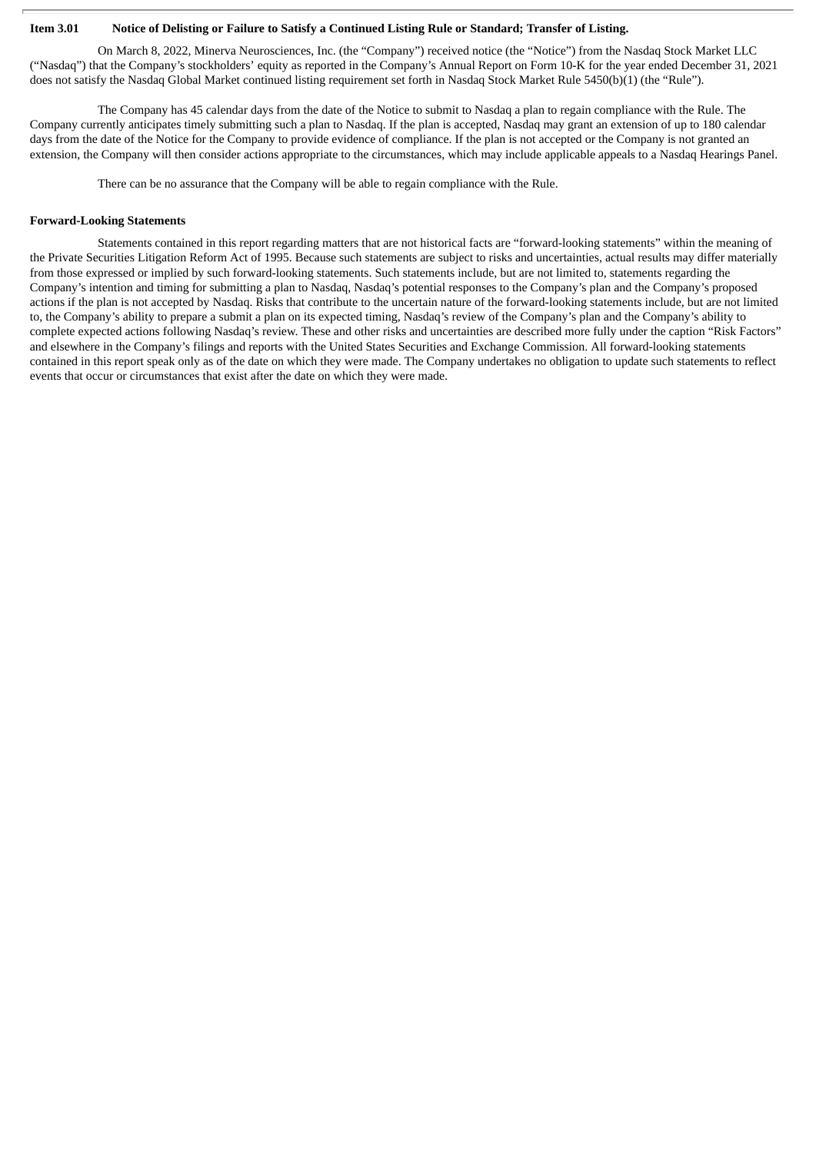#### Item 3.01 Notice of Delisting or Failure to Satisfy a Continued Listing Rule or Standard; Transfer of Listing.

On March 8, 2022, Minerva Neurosciences, Inc. (the "Company") received notice (the "Notice") from the Nasdaq Stock Market LLC ("Nasdaq") that the Company's stockholders' equity as reported in the Company's Annual Report on Form 10-K for the year ended December 31, 2021 does not satisfy the Nasdaq Global Market continued listing requirement set forth in Nasdaq Stock Market Rule 5450(b)(1) (the "Rule").

The Company has 45 calendar days from the date of the Notice to submit to Nasdaq a plan to regain compliance with the Rule. The Company currently anticipates timely submitting such a plan to Nasdaq. If the plan is accepted, Nasdaq may grant an extension of up to 180 calendar days from the date of the Notice for the Company to provide evidence of compliance. If the plan is not accepted or the Company is not granted an extension, the Company will then consider actions appropriate to the circumstances, which may include applicable appeals to a Nasdaq Hearings Panel.

There can be no assurance that the Company will be able to regain compliance with the Rule.

### **Forward-Looking Statements**

Statements contained in this report regarding matters that are not historical facts are "forward-looking statements" within the meaning of the Private Securities Litigation Reform Act of 1995. Because such statements are subject to risks and uncertainties, actual results may differ materially from those expressed or implied by such forward-looking statements. Such statements include, but are not limited to, statements regarding the Company's intention and timing for submitting a plan to Nasdaq, Nasdaq's potential responses to the Company's plan and the Company's proposed actions if the plan is not accepted by Nasdaq. Risks that contribute to the uncertain nature of the forward-looking statements include, but are not limited to, the Company's ability to prepare a submit a plan on its expected timing, Nasdaq's review of the Company's plan and the Company's ability to complete expected actions following Nasdaq's review. These and other risks and uncertainties are described more fully under the caption "Risk Factors" and elsewhere in the Company's filings and reports with the United States Securities and Exchange Commission. All forward-looking statements contained in this report speak only as of the date on which they were made. The Company undertakes no obligation to update such statements to reflect events that occur or circumstances that exist after the date on which they were made.